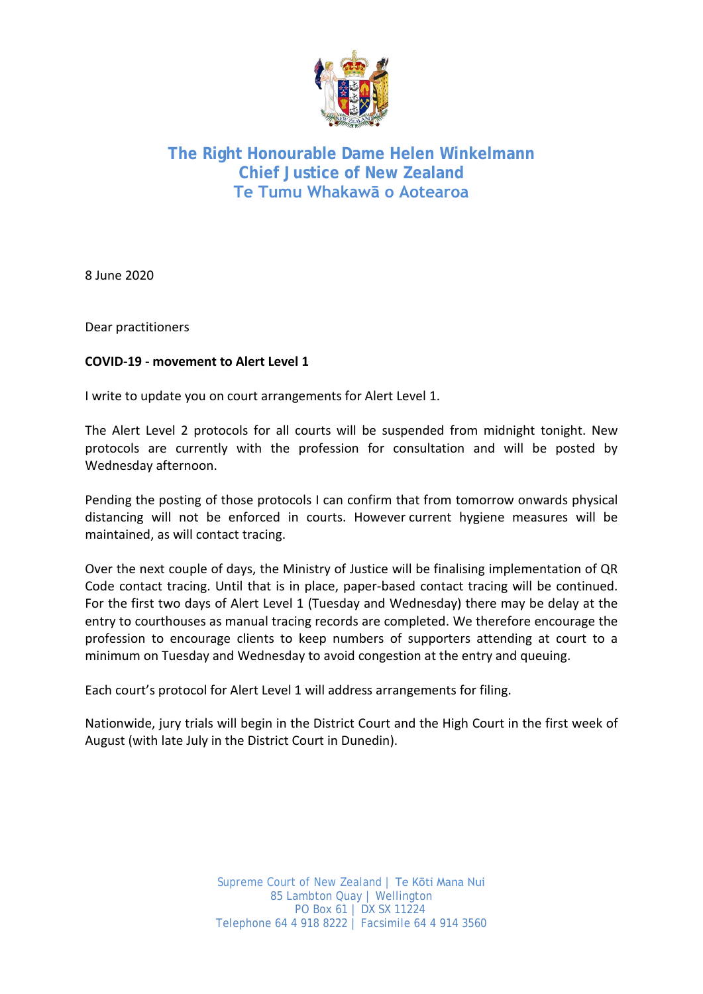

## **The Right Honourable Dame Helen Winkelmann Chief Justice of New Zealand Te Tumu Whakawā o Aotearoa**

8 June 2020

Dear practitioners

## **COVID-19 - movement to Alert Level 1**

I write to update you on court arrangements for Alert Level 1.

The Alert Level 2 protocols for all courts will be suspended from midnight tonight. New protocols are currently with the profession for consultation and will be posted by Wednesday afternoon.

Pending the posting of those protocols I can confirm that from tomorrow onwards physical distancing will not be enforced in courts. However current hygiene measures will be maintained, as will contact tracing.

Over the next couple of days, the Ministry of Justice will be finalising implementation of QR Code contact tracing. Until that is in place, paper-based contact tracing will be continued. For the first two days of Alert Level 1 (Tuesday and Wednesday) there may be delay at the entry to courthouses as manual tracing records are completed. We therefore encourage the profession to encourage clients to keep numbers of supporters attending at court to a minimum on Tuesday and Wednesday to avoid congestion at the entry and queuing.

Each court's protocol for Alert Level 1 will address arrangements for filing.

Nationwide, jury trials will begin in the District Court and the High Court in the first week of August (with late July in the District Court in Dunedin).

> Supreme Court of New Zealand | Te Kōti Mana Nui 85 Lambton Quay | Wellington PO Box 61 | DX SX 11224 Telephone 64 4 918 8222 | Facsimile 64 4 914 3560